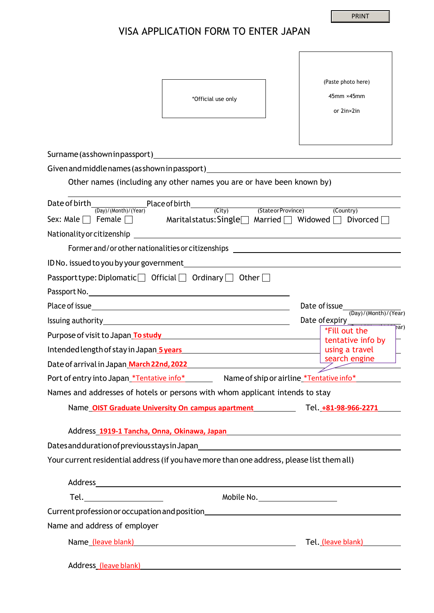PRINT

 $\overline{\phantom{a}}$ 

## VISA APPLICATION FORM TO ENTER JAPAN

| *Official use only                                                                                                                                                                                                               | (Paste photo here)<br>$45$ mm $\times$ 45mm<br>or 2in×2in |
|----------------------------------------------------------------------------------------------------------------------------------------------------------------------------------------------------------------------------------|-----------------------------------------------------------|
| Given and middle names (as shown in passport)___________________________________                                                                                                                                                 |                                                           |
| Other names (including any other names you are or have been known by)                                                                                                                                                            |                                                           |
| Date of birth<br>(Day)/(Month)/(Year)<br>(Day)/(Month)/(Year)<br>Sex: Male D Female D Maritalstatus: Single Married D Widowed D Divorced D<br>Nationality or citizenship                                                         | (City) (StateorProvince) (Country)                        |
| Former and/or other nationalities or citizenships ______________________________                                                                                                                                                 |                                                           |
|                                                                                                                                                                                                                                  |                                                           |
| Passport type: Diplomatic $\Box$ Official $\Box$ Ordinary $\Box$ Other $\Box$                                                                                                                                                    |                                                           |
|                                                                                                                                                                                                                                  |                                                           |
|                                                                                                                                                                                                                                  |                                                           |
|                                                                                                                                                                                                                                  | Date of expiry                                            |
| Purpose of visit to Japan To study and the control of the control of the control of the control of the control of the control of the control of the control of the control of the control of the control of the control of the   | $\overline{par}$<br>*Fill out the<br>tentative info by    |
| Intended length of stay in Japan 5 years Manual Manual Manual Manual Manual Manual Manual Manual Manual Manual                                                                                                                   | using a travel                                            |
| Date of arrival in Japan <u> March 22nd, 2022</u> Arrival Communist Construction of the United States of Arrival Const                                                                                                           | search engine<br>$\overline{\phantom{a}}$                 |
|                                                                                                                                                                                                                                  |                                                           |
| Names and addresses of hotels or persons with whom applicant intends to stay                                                                                                                                                     |                                                           |
| Name OIST Graduate University On campus apartment Tel. +81-98-966-2271                                                                                                                                                           |                                                           |
| Address 1919-1 Tancha, Onna, Okinawa, Japan Managara Managara Panangara Panangara Panangara Panangara Panangar<br>Dates and duration of previous stays in Japan Mathematical Content of the Content of Dates and duration of pre |                                                           |
| Your current residential address (if you have more than one address, please list them all)                                                                                                                                       |                                                           |
| Address and the contract of the contract of the contract of the contract of the contract of the contract of the contract of the contract of the contract of the contract of the contract of the contract of the contract of th   |                                                           |
|                                                                                                                                                                                                                                  | Mobile No.                                                |
|                                                                                                                                                                                                                                  |                                                           |
| Name and address of employer                                                                                                                                                                                                     |                                                           |
|                                                                                                                                                                                                                                  | Tel. (leave blank)                                        |
| Address_(leave blank) and the contract of the contract of the contract of the contract of the contract of the contract of the contract of the contract of the contract of the contract of the contract of the contract of the    |                                                           |